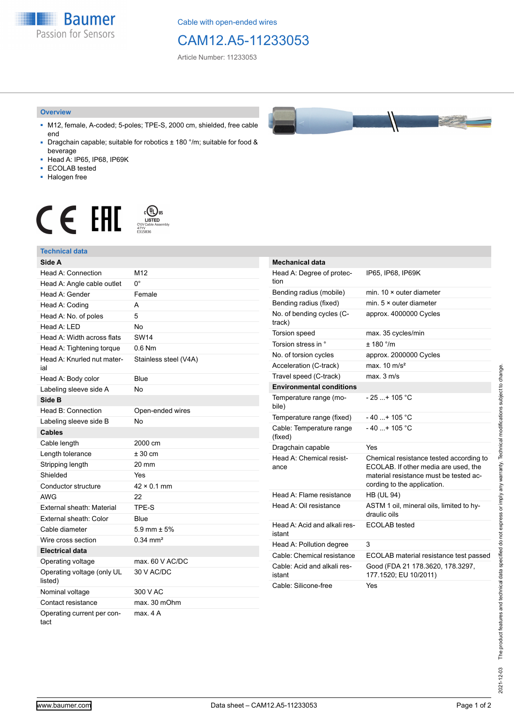**Baumer** Passion for Sensors

Cable with open-ended wires

## CAM12.A5-11233053

Article Number: 11233053

#### **Overview**

- M12, female, A-coded; 5-poles; TPE-S, 2000 cm, shielded, free cable end
- Dragchain capable; suitable for robotics ± 180 °/m; suitable for food & beverage
- Head A: IP65, IP68, IP69K
- ECOLAB tested
- Halogen free

# $\displaystyle \bigoplus_{\substack{\text{CVD}\\\text{CVD Cable Assen}\ \text{47YY}\\\text{6315836}}} \mathsf{US}$ CE EAL

### **Technical data**

| Side A                                |                       |
|---------------------------------------|-----------------------|
| Head A: Connection                    | M <sub>12</sub>       |
| Head A: Angle cable outlet            | n°                    |
| Head A: Gender                        | Female                |
| Head A: Coding                        | A                     |
| Head A: No. of poles                  | 5                     |
| Head $A \cdot IFD$                    | No                    |
| Head A: Width across flats            | <b>SW14</b>           |
| Head A: Tightening torque             | 0.6 Nm                |
| Head A: Knurled nut mater-<br>ial     | Stainless steel (V4A) |
| Head A: Body color                    | Blue                  |
| Labeling sleeve side A                | No                    |
| Side B                                |                       |
| Head B: Connection                    | Open-ended wires      |
| Labeling sleeve side B                | <b>No</b>             |
| <b>Cables</b>                         |                       |
| Cable length                          | 2000 cm               |
| Length tolerance                      | $± 30$ cm             |
| Stripping length                      | 20 mm                 |
| Shielded                              | Yes                   |
| Conductor structure                   | $42 \times 0.1$ mm    |
| AWG                                   | 22                    |
| External sheath: Material             | TPE-S                 |
| External sheath: Color                | Blue                  |
| Cable diameter                        | 5.9 mm $\pm$ 5%       |
| Wire cross section                    | $0.34 \, \text{mm}^2$ |
| <b>Electrical data</b>                |                       |
| Operating voltage                     | max. 60 V AC/DC       |
| Operating voltage (only UL<br>listed) | 30 V AC/DC            |
| Nominal voltage                       | 300 V AC              |
| Contact resistance                    | max. 30 mOhm          |
| Operating current per con-<br>tact    | max. 4 A              |



| <b>Mechanical data</b>                 |                                                                                                                                                          |
|----------------------------------------|----------------------------------------------------------------------------------------------------------------------------------------------------------|
| Head A: Degree of protec-<br>tion      | IP65, IP68, IP69K                                                                                                                                        |
| Bending radius (mobile)                | min. $10 \times$ outer diameter                                                                                                                          |
| Bending radius (fixed)                 | min. $5 \times$ outer diameter                                                                                                                           |
| No. of bending cycles (C-<br>track)    | approx. 4000000 Cycles                                                                                                                                   |
| Torsion speed                          | max. 35 cycles/min                                                                                                                                       |
| Torsion stress in °                    | ± 180 °/m                                                                                                                                                |
| No. of torsion cycles                  | approx. 2000000 Cycles                                                                                                                                   |
| Acceleration (C-track)                 | max. $10 \text{ m/s}^2$                                                                                                                                  |
| Travel speed (C-track)                 | $max$ 3 m/s                                                                                                                                              |
| <b>Environmental conditions</b>        |                                                                                                                                                          |
| Temperature range (mo-<br>bile)        | - 25 + 105 °C                                                                                                                                            |
| Temperature range (fixed)              | - 40 + 105 °C                                                                                                                                            |
| Cable: Temperature range<br>(fixed)    | $-40+105 °C$                                                                                                                                             |
| Dragchain capable                      | Yes                                                                                                                                                      |
| Head A: Chemical resist-<br>ance       | Chemical resistance tested according to<br>ECOLAB. If other media are used, the<br>material resistance must be tested ac-<br>cording to the application. |
| Head A: Flame resistance               | <b>HB (UL 94)</b>                                                                                                                                        |
| Head A: Oil resistance                 | ASTM 1 oil, mineral oils, limited to hy-<br>draulic oils                                                                                                 |
| Head A: Acid and alkali res-<br>istant | ECOLAB tested                                                                                                                                            |
| Head A: Pollution degree               | 3                                                                                                                                                        |
| Cable: Chemical resistance             | ECOLAB material resistance test passed                                                                                                                   |
| Cable: Acid and alkali res-<br>istant  | Good (FDA 21 178.3620, 178.3297,<br>177.1520; EU 10/2011)                                                                                                |
| Cable: Silicone-free                   | Yes                                                                                                                                                      |